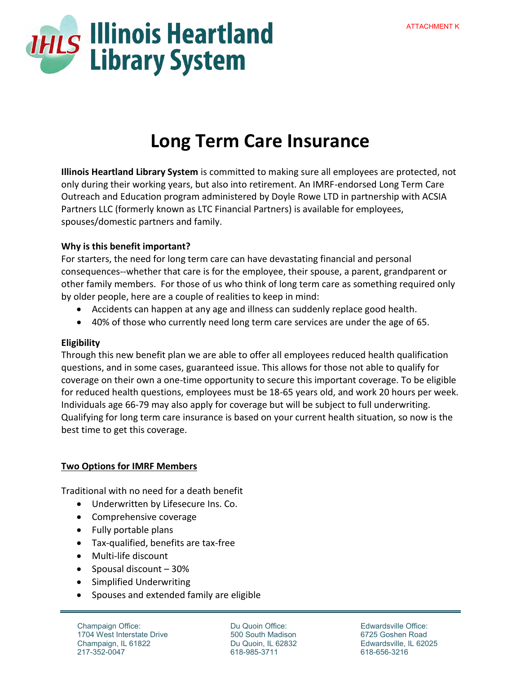

## **Long Term Care Insurance**

**Illinois Heartland Library System** is committed to making sure all employees are protected, not only during their working years, but also into retirement. An IMRF-endorsed Long Term Care Outreach and Education program administered by Doyle Rowe LTD in partnership with ACSIA Partners LLC (formerly known as LTC Financial Partners) is available for employees, spouses/domestic partners and family.

## **Why is this benefit important?**

For starters, the need for long term care can have devastating financial and personal consequences--whether that care is for the employee, their spouse, a parent, grandparent or other family members. For those of us who think of long term care as something required only by older people, here are a couple of realities to keep in mind:

- Accidents can happen at any age and illness can suddenly replace good health.
- 40% of those who currently need long term care services are under the age of 65.

## **Eligibility**

Through this new benefit plan we are able to offer all employees reduced health qualification questions, and in some cases, guaranteed issue. This allows for those not able to qualify for coverage on their own a one-time opportunity to secure this important coverage. To be eligible for reduced health questions, employees must be 18-65 years old, and work 20 hours per week. Individuals age 66-79 may also apply for coverage but will be subject to full underwriting. Qualifying for long term care insurance is based on your current health situation, so now is the best time to get this coverage.

## **Two Options for IMRF Members**

Traditional with no need for a death benefit

- Underwritten by Lifesecure Ins. Co.
- Comprehensive coverage
- Fully portable plans
- Tax-qualified, benefits are tax-free
- Multi-life discount
- Spousal discount  $-30%$
- Simplified Underwriting
- Spouses and extended family are eligible

Champaign Office: 1704 West Interstate Drive Champaign, IL 61822 217-352-0047

Du Quoin Office: 500 South Madison Du Quoin, IL 62832 618-985-3711

Edwardsville Office: 6725 Goshen Road Edwardsville, IL 62025 618-656-3216